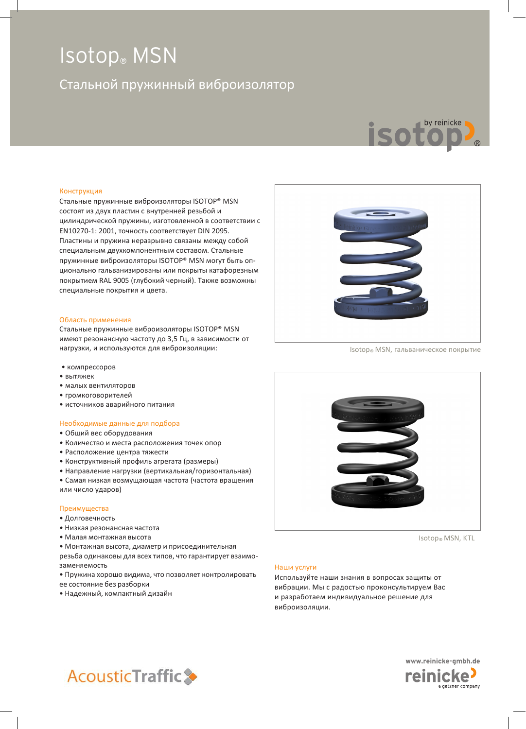### Стальной пружинный виброизолятор



#### Конструкция

Стальные пружинные виброизоляторы ISOTOP® MSN состоят из двух пластин с внутренней резьбой и цилиндрической пружины, изготовленной в соответствии с EN10270-1: 2001, точность соответствует DIN 2095. Пластины и пружина неразрывно связаны между собой специальным двухкомпонентным составом. Стальные пружинные виброизоляторы ISOTOP® MSN могут быть опционально гальванизированы или покрыты катафорезным покрытием RAL 9005 (глубокий черный). Также возможны специальные покрытия и цвета.

#### Область применения

Стальные пружинные виброизоляторы ISOTOP® MSN имеют резонансную частоту до 3,5 Гц, в зависимости от нагрузки, и используются для виброизоляции:

- компрессоров
- вытяжек
- малых вентиляторов
- громкоговорителей
- источников аварийного питания

#### Необходимые данные для подбора

- Общий вес оборудования
- Количество и места расположения точек опор
- Расположение центра тяжести
- Конструктивный профиль агрегата (размеры)
- Направление нагрузки (вертикальная/горизонтальная)

• Самая низкая возмущающая частота (частота вращения или число ударов)

#### Преимущества

- Долговечность
- Низкая резонансная частота
- Малая монтажная высота
- Монтажная высота, диаметр и присоединительная

резьба одинаковы для всех типов, что гарантирует взаимозаменяемость

• Пружина хорошо видима, что позволяет контролировать ее состояние без разборки

• Надежный, компактный дизайн



Isotop® MSN, гальваническое покрытие



Isotop® MSN, KTL

#### Наши услуги

Используйте наши знания в вопросах защиты от вибрации. Мы с радостью проконсультируем Вас и разработаем индивидуальное решение для виброизоляции.



www.reinicke-gmbh.de reinicke<sup>)</sup> getzner company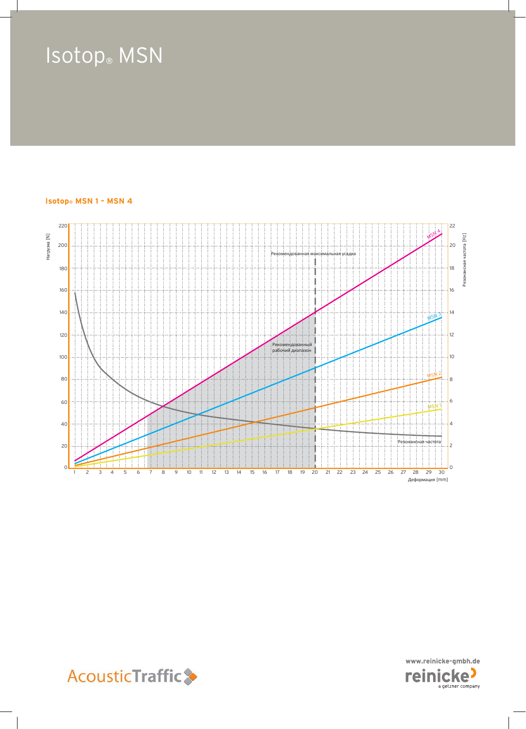#### **Isotop® MSN 1 – MSN 4**





**AcousticTraffic**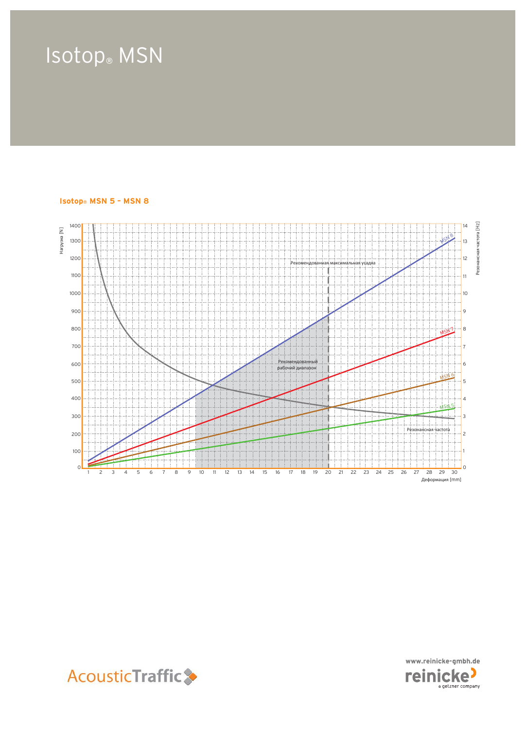#### **Isotop® MSN 5 – MSN 8**





**AcousticTraffic**